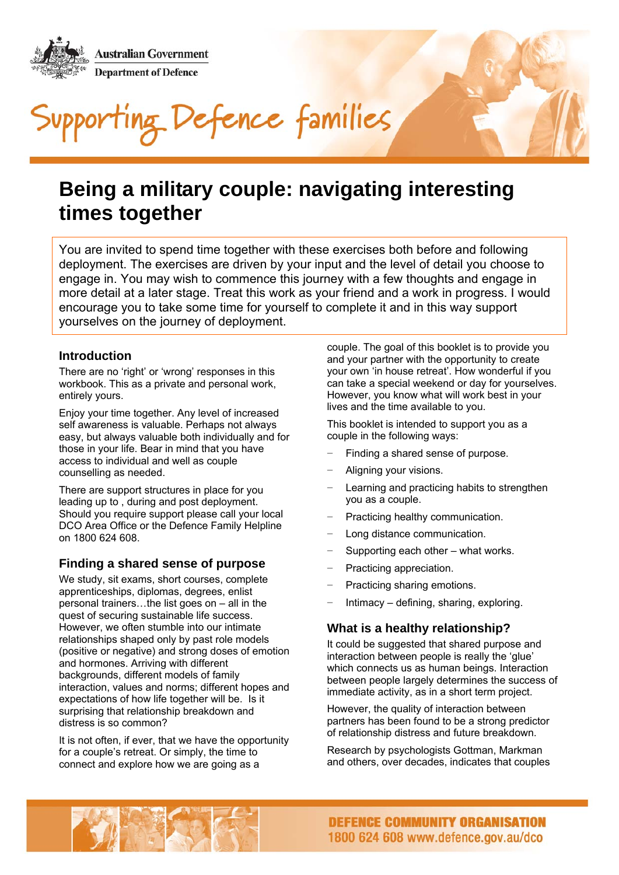**Australian Government Department of Defence** Defence families

### **Being a military couple: navigating interesting times together**

You are invited to spend time together with these exercises both before and following deployment. The exercises are driven by your input and the level of detail you choose to engage in. You may wish to commence this journey with a few thoughts and engage in more detail at a later stage. Treat this work as your friend and a work in progress. I would encourage you to take some time for yourself to complete it and in this way support yourselves on the journey of deployment.

#### **Introduction**

There are no 'right' or 'wrong' responses in this workbook. This as a private and personal work, entirely yours.

Enjoy your time together. Any level of increased self awareness is valuable. Perhaps not always easy, but always valuable both individually and for those in your life. Bear in mind that you have access to individual and well as couple counselling as needed.

There are support structures in place for you leading up to , during and post deployment. Should you require support please call your local DCO Area Office or the Defence Family Helpline on 1800 624 608.

### **Finding a shared sense of purpose**

 We study, sit exams, short courses, complete apprenticeships, diplomas, degrees, enlist personal trainers…the list goes on – all in the quest of securing sustainable life success. However, we often stumble into our intimate relationships shaped only by past role models (positive or negative) and strong doses of emotion and hormones. Arriving with different backgrounds, different models of family interaction, values and norms; different hopes and expectations of how life together will be. Is it surprising that relationship breakdown and distress is so common?

It is not often, if ever, that we have the opportunity for a couple's retreat. Or simply, the time to connect and explore how we are going as a

couple. The goal of this booklet is to provide you and your partner with the opportunity to create your own 'in house retreat'. How wonderful if you can take a special weekend or day for yourselves. However, you know what will work best in your lives and the time available to you.

This booklet is intended to support you as a couple in the following ways:

- Finding a shared sense of purpose.
- − Aligning your visions.
- Learning and practicing habits to strengthen you as a couple.
- Practicing healthy communication.
- Long distance communication.
- Supporting each other what works.
- − Practicing appreciation.
- − Practicing sharing emotions.
- − Intimacy defining, sharing, exploring.

### **What is a healthy relationship?**

It could be suggested that shared purpose and interaction between people is really the 'glue' which connects us as human beings. Interaction between people largely determines the success of immediate activity, as in a short term project.

However, the quality of interaction between partners has been found to be a strong predictor of relationship distress and future breakdown.

Research by psychologists Gottman, Markman and others, over decades, indicates that couples

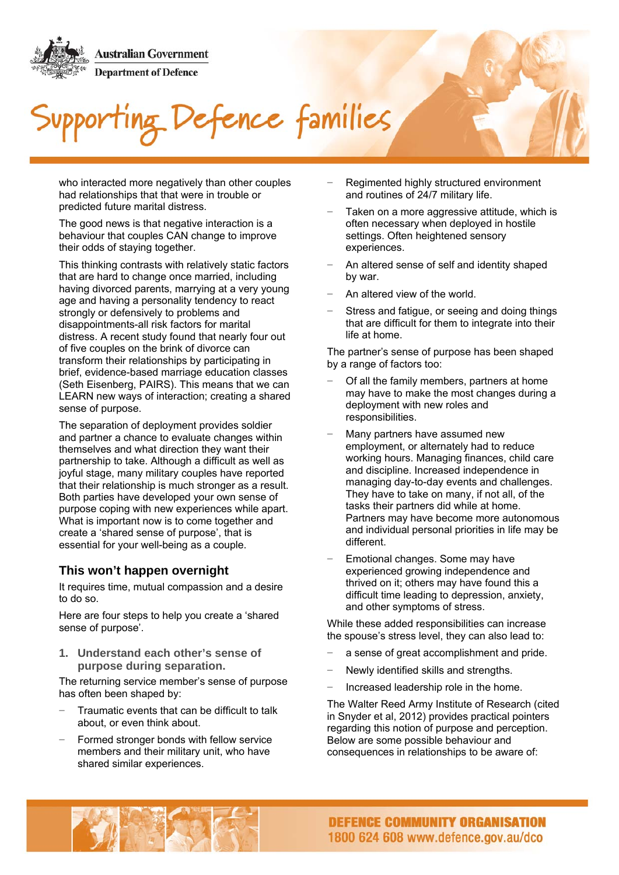# Defence families

who interacted more negatively than other couples had relationships that that were in trouble or predicted future marital distress.

The good news is that negative interaction is a behaviour that couples CAN change to improve their odds of staying together.

This thinking contrasts with relatively static factors that are hard to change once married, including having divorced parents, marrying at a very young age and having a personality tendency to react strongly or defensively to problems and disappointments-all risk factors for marital distress. A recent study found that nearly four out of five couples on the brink of divorce can transform their relationships by participating in brief, evidence-based marriage education classes (Seth Eisenberg, PAIRS). This means that we can LEARN new ways of interaction; creating a shared sense of purpose.

The separation of deployment provides soldier and partner a chance to evaluate changes within themselves and what direction they want their partnership to take. Although a difficult as well as joyful stage, many military couples have reported that their relationship is much stronger as a result. Both parties have developed your own sense of purpose coping with new experiences while apart. What is important now is to come together and create a 'shared sense of purpose', that is essential for your well-being as a couple.

#### **This won't happen overnight**

It requires time, mutual compassion and a desire to do so.

Here are four steps to help you create a 'shared sense of purpose'.

**1. Understand each other's sense of purpose during separation.**

The returning service member's sense of purpose has often been shaped by:

- Traumatic events that can be difficult to talk about, or even think about.
- Formed stronger bonds with fellow service members and their military unit, who have shared similar experiences.
- − Regimented highly structured environment and routines of 24/7 military life.
- Taken on a more aggressive attitude, which is often necessary when deployed in hostile settings. Often heightened sensory experiences.
- − An altered sense of self and identity shaped by war.
- − An altered view of the world.
- Stress and fatigue, or seeing and doing things that are difficult for them to integrate into their life at home.

The partner's sense of purpose has been shaped by a range of factors too:

- Of all the family members, partners at home may have to make the most changes during a deployment with new roles and responsibilities.
- Many partners have assumed new employment, or alternately had to reduce working hours. Managing finances, child care and discipline. Increased independence in managing day-to-day events and challenges. They have to take on many, if not all, of the tasks their partners did while at home. Partners may have become more autonomous and individual personal priorities in life may be different.
- Emotional changes. Some may have experienced growing independence and thrived on it; others may have found this a difficult time leading to depression, anxiety, and other symptoms of stress.

While these added responsibilities can increase the spouse's stress level, they can also lead to:

- a sense of great accomplishment and pride.
- − Newly identified skills and strengths.
- − Increased leadership role in the home.

The Walter Reed Army Institute of Research (cited in Snyder et al, 2012) provides practical pointers regarding this notion of purpose and perception. Below are some possible behaviour and consequences in relationships to be aware of:

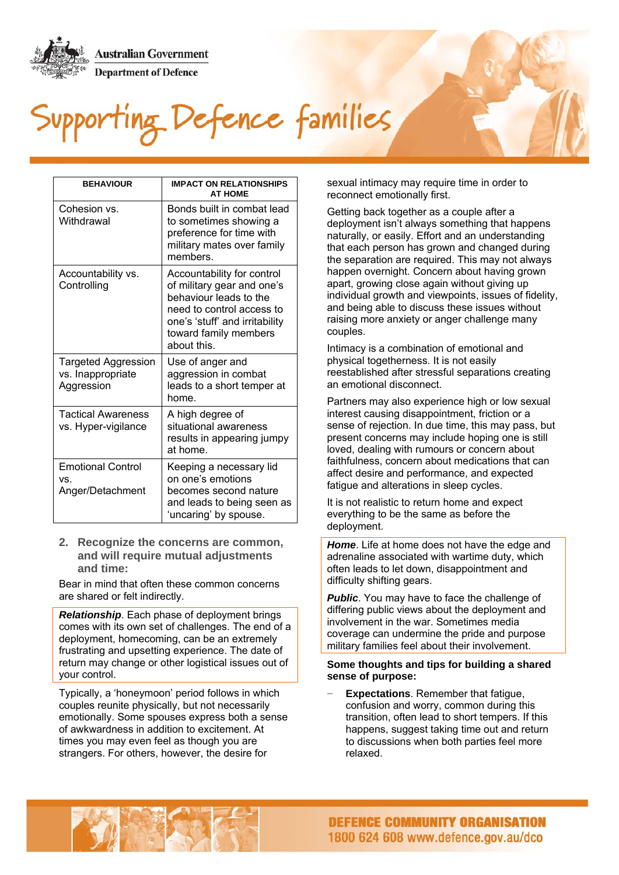### porting Defence families

| <b>BEHAVIOUR</b>                                              | <b>IMPACT ON RELATIONSHIPS</b><br><b>AT HOME</b>                                                                                                                                          |
|---------------------------------------------------------------|-------------------------------------------------------------------------------------------------------------------------------------------------------------------------------------------|
| Cohesion vs.<br>Withdrawal                                    | Bonds built in combat lead<br>to sometimes showing a<br>preference for time with<br>military mates over family<br>members.                                                                |
| Accountability vs.<br>Controlling                             | Accountability for control<br>of military gear and one's<br>behaviour leads to the<br>need to control access to<br>one's 'stuff' and irritability<br>toward family members<br>about this. |
| <b>Targeted Aggression</b><br>vs. Inappropriate<br>Aggression | Use of anger and<br>aggression in combat<br>leads to a short temper at<br>home.                                                                                                           |
| <b>Tactical Awareness</b><br>vs. Hyper-vigilance              | A high degree of<br>situational awareness<br>results in appearing jumpy<br>at home.                                                                                                       |
| <b>Emotional Control</b><br>VS.<br>Anger/Detachment           | Keeping a necessary lid<br>on one's emotions<br>becomes second nature<br>and leads to being seen as<br>'uncaring' by spouse.                                                              |

**2. Recognize the concerns are common, and will require mutual adjustments and time:**

Bear in mind that often these common concerns are shared or felt indirectly.

*Relationship*. Each phase of deployment brings comes with its own set of challenges. The end of a deployment, homecoming, can be an extremely frustrating and upsetting experience. The date of return may change or other logistical issues out of your control.

Typically, a 'honeymoon' period follows in which couples reunite physically, but not necessarily emotionally. Some spouses express both a sense of awkwardness in addition to excitement. At times you may even feel as though you are strangers. For others, however, the desire for

sexual intimacy may require time in order to reconnect emotionally first.

Getting back together as a couple after a deployment isn't always something that happens naturally, or easily. Effort and an understanding that each person has grown and changed during the separation are required. This may not always happen overnight. Concern about having grown apart, growing close again without giving up individual growth and viewpoints, issues of fidelity, and being able to discuss these issues without raising more anxiety or anger challenge many couples.

Intimacy is a combination of emotional and physical togetherness. It is not easily reestablished after stressful separations creating an emotional disconnect.

Partners may also experience high or low sexual interest causing disappointment, friction or a sense of rejection. In due time, this may pass, but present concerns may include hoping one is still loved, dealing with rumours or concern about faithfulness, concern about medications that can affect desire and performance, and expected fatigue and alterations in sleep cycles.

It is not realistic to return home and expect everything to be the same as before the deployment.

*Home*. Life at home does not have the edge and adrenaline associated with wartime duty, which often leads to let down, disappointment and difficulty shifting gears.

**Public.** You may have to face the challenge of differing public views about the deployment and involvement in the war. Sometimes media coverage can undermine the pride and purpose military families feel about their involvement.

#### **Some thoughts and tips for building a shared sense of purpose:**

**Expectations**. Remember that fatigue, confusion and worry, common during this transition, often lead to short tempers. If this happens, suggest taking time out and return to discussions when both parties feel more relaxed.

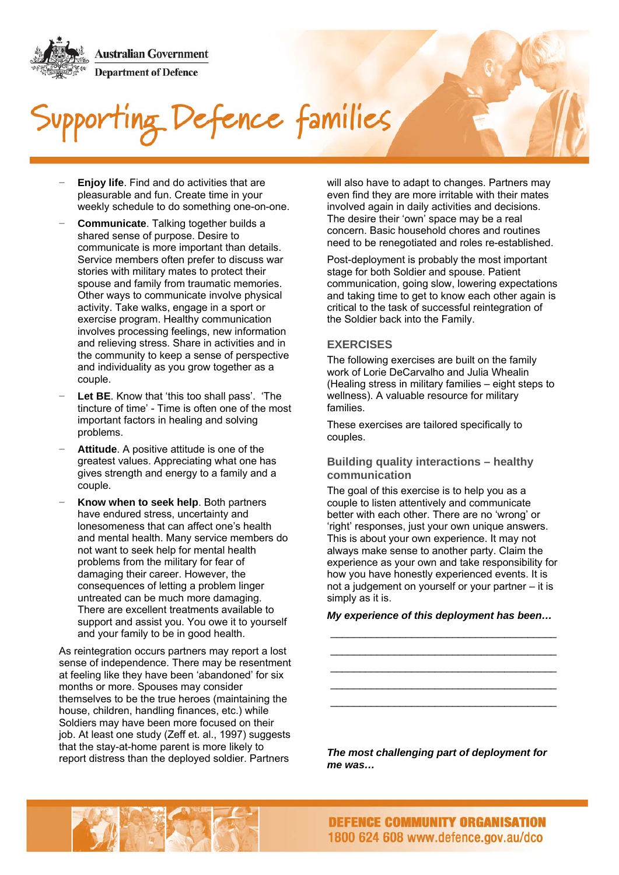## efence families

- **Enjoy life.** Find and do activities that are pleasurable and fun. Create time in your weekly schedule to do something one-on-one.
- − **Communicate**. Talking together builds a shared sense of purpose. Desire to communicate is more important than details. Service members often prefer to discuss war stories with military mates to protect their spouse and family from traumatic memories. Other ways to communicate involve physical activity. Take walks, engage in a sport or exercise program. Healthy communication involves processing feelings, new information and relieving stress. Share in activities and in the community to keep a sense of perspective and individuality as you grow together as a couple.
- Let BE. Know that 'this too shall pass'. 'The tincture of time' - Time is often one of the most important factors in healing and solving problems.
- couple. **Attitude**. A positive attitude is one of the greatest values. Appreciating what one has gives strength and energy to a family and a
- Know when to seek help. Both partners have endured stress, uncertainty and lonesomeness that can affect one's health and mental health. Many service members do not want to seek help for mental health problems from the military for fear of damaging their career. However, the consequences of letting a problem linger untreated can be much more damaging. There are excellent treatments available to support and assist you. You owe it to yourself and your family to be in good health.

As reintegration occurs partners may report a lost sense of independence. There may be resentment at feeling like they have been 'abandoned' for six months or more. Spouses may consider themselves to be the true heroes (maintaining the house, children, handling finances, etc.) while Soldiers may have been more focused on their job. At least one study (Zeff et. al., 1997) suggests that the stay-at-home parent is more likely to report distress than the deployed soldier. Partners

will also have to adapt to changes. Partners may even find they are more irritable with their mates involved again in daily activities and decisions. The desire their 'own' space may be a real concern. Basic household chores and routines need to be renegotiated and roles re-established.

Post-deployment is probably the most important stage for both Soldier and spouse. Patient communication, going slow, lowering expectations and taking time to get to know each other again is critical to the task of successful reintegration of the Soldier back into the Family.

#### **EXERCISES**

The following exercises are built on the family work of Lorie DeCarvalho and Julia Whealin (Healing stress in military families – eight steps to wellness). A valuable resource for military families.

These exercises are tailored specifically to couples.

#### **Building quality interactions – healthy communication**

The goal of this exercise is to help you as a couple to listen attentively and communicate better with each other. There are no 'wrong' or 'right' responses, just your own unique answers. This is about your own experience. It may not always make sense to another party. Claim the experience as your own and take responsibility for how you have honestly experienced events. It is not a judgement on yourself or your partner – it is simply as it is.

\_\_\_\_\_\_\_\_\_\_\_\_\_\_\_\_\_\_\_\_\_\_\_\_\_\_\_\_\_\_\_\_\_\_\_\_\_\_\_ *My experience of this deployment has been…* 

\_\_\_\_\_\_\_\_\_\_\_\_\_\_\_\_\_\_\_\_\_\_\_\_\_\_\_\_\_\_\_\_\_\_\_\_\_\_\_ \_\_\_\_\_\_\_\_\_\_\_\_\_\_\_\_\_\_\_\_\_\_\_\_\_\_\_\_\_\_\_\_\_\_\_\_\_\_\_ \_\_\_\_\_\_\_\_\_\_\_\_\_\_\_\_\_\_\_\_\_\_\_\_\_\_\_\_\_\_\_\_\_\_\_\_\_\_\_ \_\_\_\_\_\_\_\_\_\_\_\_\_\_\_\_\_\_\_\_\_\_\_\_\_\_\_\_\_\_\_\_\_\_\_\_\_\_\_

*The most challenging part of deployment for me was…* 

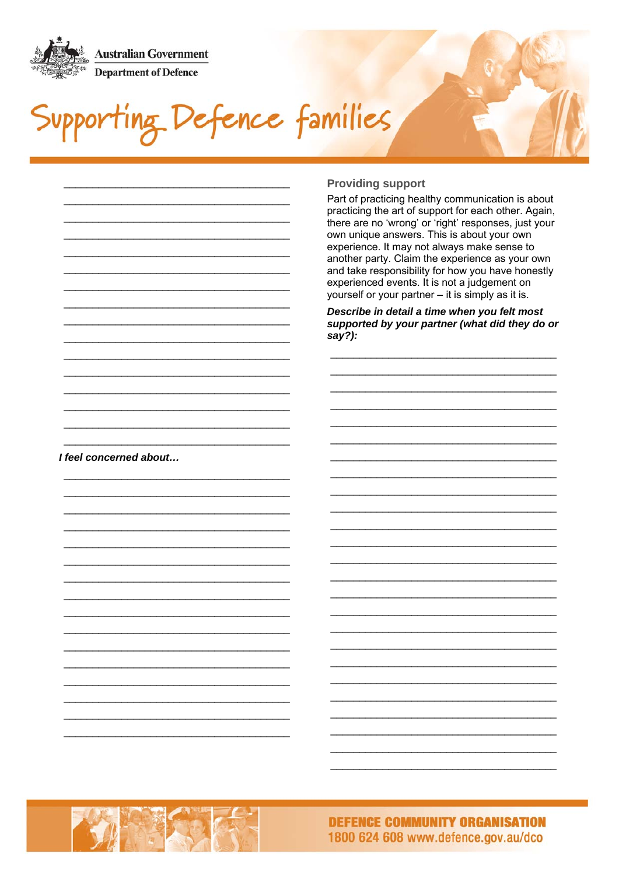

Supporting Defence families

#### **Providing support** Part of practicing healthy communication is about practicing the art of support for each other. Again, there are no 'wrong' or 'right' responses, just your own unique answers. This is about your own experience. It may not always make sense to another party. Claim the experience as your own and take responsibility for how you have honestly experienced events. It is not a judgement on yourself or your partner – it is simply as it is. Describe in detail a time when you felt most supported by your partner (what did they do or  $say?$ :

I feel concerned about...



**DEFENCE COMMUNITY ORGANISATION** 1800 624 608 www.defence.gov.au/dco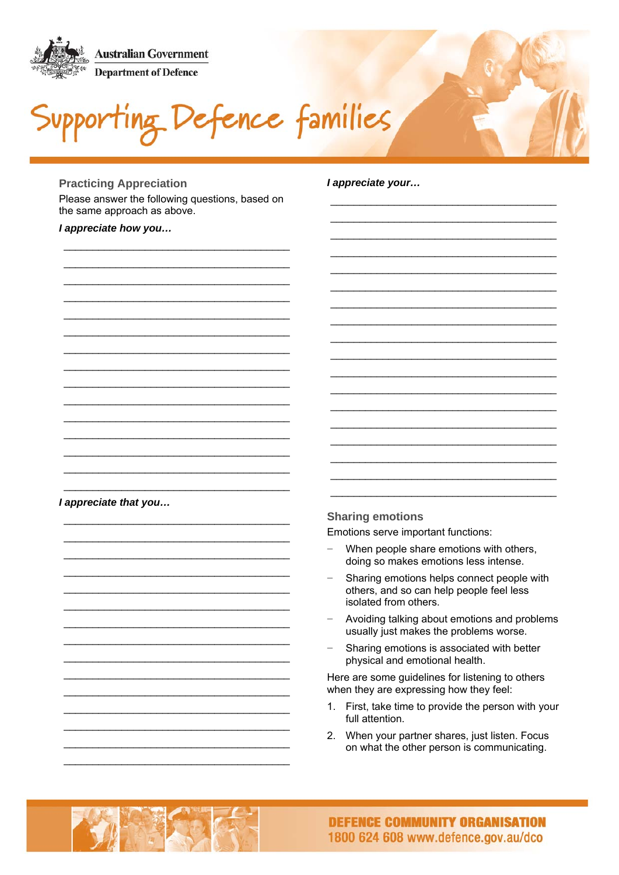ting Defence families

#### **Practicing Appreciation**

Please answer the following questions, based on the same approach as above.

#### I appreciate how you...

#### l appreciate your...

I appreciate that you...

#### **Sharing emotions**

Emotions serve important functions:

- When people share emotions with others, doing so makes emotions less intense.
- Sharing emotions helps connect people with others, and so can help people feel less isolated from others.
- Avoiding talking about emotions and problems usually just makes the problems worse.
- Sharing emotions is associated with better physical and emotional health.

Here are some guidelines for listening to others when they are expressing how they feel:

- 1. First, take time to provide the person with your full attention.
- 2. When your partner shares, just listen. Focus on what the other person is communicating.

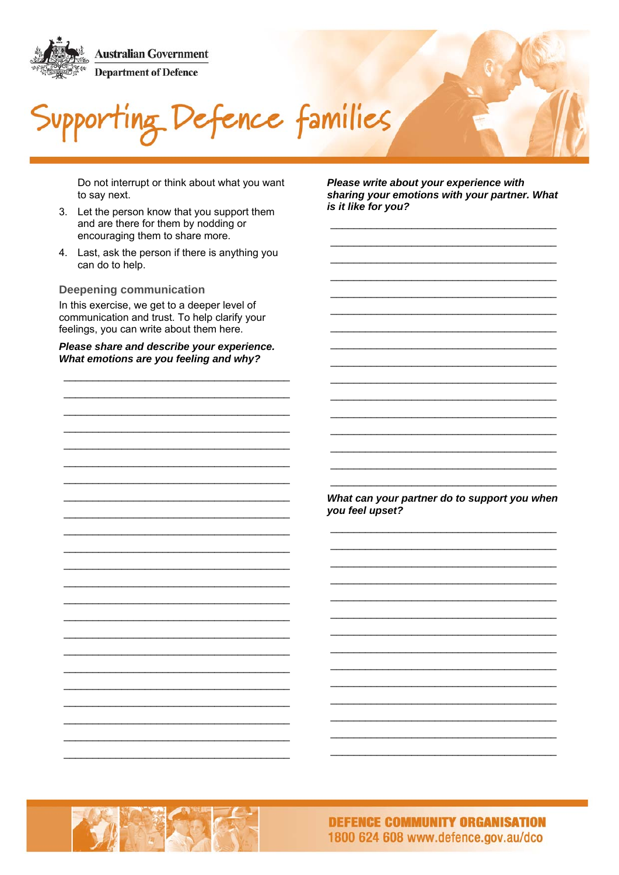

Defence families

Do not interrupt or think about what you want to say next.

- 3. Let the person know that you support them and are there for them by nodding or encouraging them to share more.
- 4. Last, ask the person if there is anything you can do to help.

**Deepening communication** 

In this exercise, we get to a deeper level of communication and trust. To help clarify your feelings, you can write about them here.

Please share and describe your experience. What emotions are you feeling and why?

Please write about your experience with sharing your emotions with your partner. What is it like for you?

What can your partner do to support you when you feel upset?

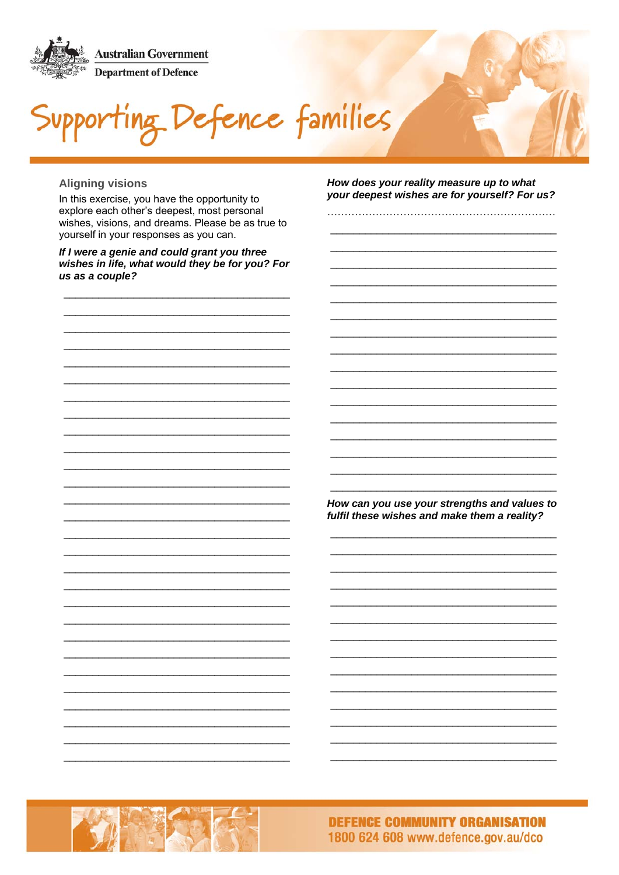Supporting Defence families

#### **Aligning visions**

In this exercise, you have the opportunity to explore each other's deepest, most personal wishes, visions, and dreams. Please be as true to yourself in your responses as you can.

If I were a genie and could grant you three wishes in life, what would they be for you? For us as a couple?

How does your reality measure up to what your deepest wishes are for yourself? For us?

How can you use your strengths and values to fulfil these wishes and make them a reality?

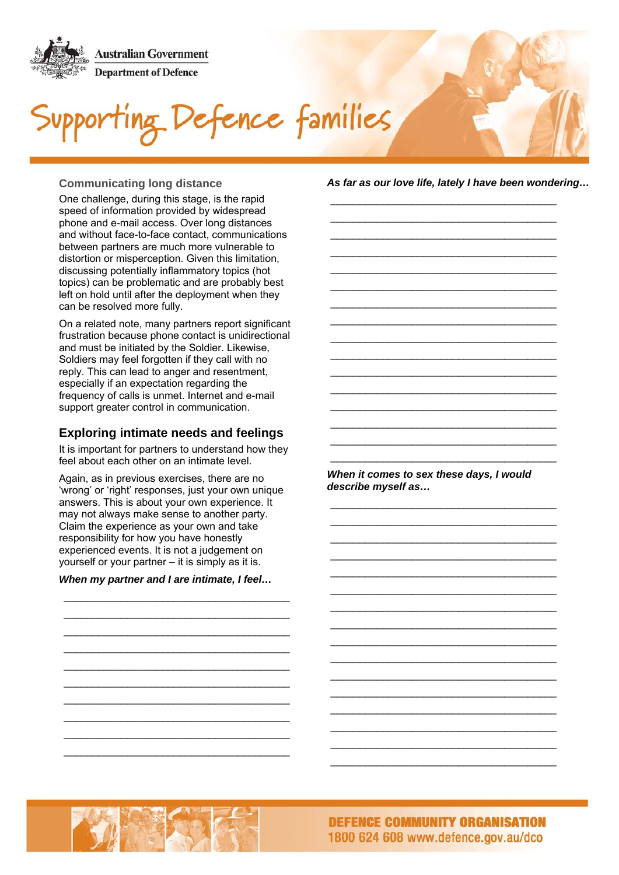

## Defence families

One challenge, during this stage, is the rapid speed of information provided by widespread phone and e-mail access. Over long distances and without face-to-face contact, communications between partners are much more vulnerable to distortion or misperception. Given this limitation, discussing potentially inflammatory topics (hot topics) can be problematic and are probably best left on hold until after the deployment when they can be resolved more fully.

On a related note, many partners report significant frustration because phone contact is unidirectional and must be initiated by the Soldier. Likewise, Soldiers may feel forgotten if they call with no reply. This can lead to anger and resentment, especially if an expectation regarding the frequency of calls is unmet. Internet and e-mail support greater control in communication.

#### **Exploring intimate needs and feelings**

It is important for partners to understand how they feel about each other on an intimate level.

Again, as in previous exercises, there are no 'wrong' or 'right' responses, just your own unique answers. This is about your own experience. It may not always make sense to another party. Claim the experience as your own and take responsibility for how you have honestly experienced events. It is not a judgement on yourself or your partner – it is simply as it is.

#### *When my partner and I are intimate, I feel…*

\_\_\_\_\_\_\_\_\_\_\_\_\_\_\_\_\_\_\_\_\_\_\_\_\_\_\_\_\_\_\_\_\_\_\_\_\_\_\_ \_\_\_\_\_\_\_\_\_\_\_\_\_\_\_\_\_\_\_\_\_\_\_\_\_\_\_\_\_\_\_\_\_\_\_\_\_\_\_ \_\_\_\_\_\_\_\_\_\_\_\_\_\_\_\_\_\_\_\_\_\_\_\_\_\_\_\_\_\_\_\_\_\_\_\_\_\_\_ \_\_\_\_\_\_\_\_\_\_\_\_\_\_\_\_\_\_\_\_\_\_\_\_\_\_\_\_\_\_\_\_\_\_\_\_\_\_\_ \_\_\_\_\_\_\_\_\_\_\_\_\_\_\_\_\_\_\_\_\_\_\_\_\_\_\_\_\_\_\_\_\_\_\_\_\_\_\_ \_\_\_\_\_\_\_\_\_\_\_\_\_\_\_\_\_\_\_\_\_\_\_\_\_\_\_\_\_\_\_\_\_\_\_\_\_\_\_ \_\_\_\_\_\_\_\_\_\_\_\_\_\_\_\_\_\_\_\_\_\_\_\_\_\_\_\_\_\_\_\_\_\_\_\_\_\_\_ \_\_\_\_\_\_\_\_\_\_\_\_\_\_\_\_\_\_\_\_\_\_\_\_\_\_\_\_\_\_\_\_\_\_\_\_\_\_\_ \_\_\_\_\_\_\_\_\_\_\_\_\_\_\_\_\_\_\_\_\_\_\_\_\_\_\_\_\_\_\_\_\_\_\_\_\_\_\_ \_\_\_\_\_\_\_\_\_\_\_\_\_\_\_\_\_\_\_\_\_\_\_\_\_\_\_\_\_\_\_\_\_\_\_\_\_\_\_

**Communicating long distance** *As far as our love life, lately I have been wondering…* 

\_\_\_\_\_\_\_\_\_\_\_\_\_\_\_\_\_\_\_\_\_\_\_\_\_\_\_\_\_\_\_\_\_\_\_\_\_\_\_ \_\_\_\_\_\_\_\_\_\_\_\_\_\_\_\_\_\_\_\_\_\_\_\_\_\_\_\_\_\_\_\_\_\_\_\_\_\_\_ \_\_\_\_\_\_\_\_\_\_\_\_\_\_\_\_\_\_\_\_\_\_\_\_\_\_\_\_\_\_\_\_\_\_\_\_\_\_\_ \_\_\_\_\_\_\_\_\_\_\_\_\_\_\_\_\_\_\_\_\_\_\_\_\_\_\_\_\_\_\_\_\_\_\_\_\_\_\_ \_\_\_\_\_\_\_\_\_\_\_\_\_\_\_\_\_\_\_\_\_\_\_\_\_\_\_\_\_\_\_\_\_\_\_\_\_\_\_ \_\_\_\_\_\_\_\_\_\_\_\_\_\_\_\_\_\_\_\_\_\_\_\_\_\_\_\_\_\_\_\_\_\_\_\_\_\_\_ \_\_\_\_\_\_\_\_\_\_\_\_\_\_\_\_\_\_\_\_\_\_\_\_\_\_\_\_\_\_\_\_\_\_\_\_\_\_\_ \_\_\_\_\_\_\_\_\_\_\_\_\_\_\_\_\_\_\_\_\_\_\_\_\_\_\_\_\_\_\_\_\_\_\_\_\_\_\_ \_\_\_\_\_\_\_\_\_\_\_\_\_\_\_\_\_\_\_\_\_\_\_\_\_\_\_\_\_\_\_\_\_\_\_\_\_\_\_ \_\_\_\_\_\_\_\_\_\_\_\_\_\_\_\_\_\_\_\_\_\_\_\_\_\_\_\_\_\_\_\_\_\_\_\_\_\_\_ \_\_\_\_\_\_\_\_\_\_\_\_\_\_\_\_\_\_\_\_\_\_\_\_\_\_\_\_\_\_\_\_\_\_\_\_\_\_\_ \_\_\_\_\_\_\_\_\_\_\_\_\_\_\_\_\_\_\_\_\_\_\_\_\_\_\_\_\_\_\_\_\_\_\_\_\_\_\_ \_\_\_\_\_\_\_\_\_\_\_\_\_\_\_\_\_\_\_\_\_\_\_\_\_\_\_\_\_\_\_\_\_\_\_\_\_\_\_ \_\_\_\_\_\_\_\_\_\_\_\_\_\_\_\_\_\_\_\_\_\_\_\_\_\_\_\_\_\_\_\_\_\_\_\_\_\_\_ \_\_\_\_\_\_\_\_\_\_\_\_\_\_\_\_\_\_\_\_\_\_\_\_\_\_\_\_\_\_\_\_\_\_\_\_\_\_\_ \_\_\_\_\_\_\_\_\_\_\_\_\_\_\_\_\_\_\_\_\_\_\_\_\_\_\_\_\_\_\_\_\_\_\_\_\_\_\_

*When it comes to sex these days, I would describe myself as…* 

\_\_\_\_\_\_\_\_\_\_\_\_\_\_\_\_\_\_\_\_\_\_\_\_\_\_\_\_\_\_\_\_\_\_\_\_\_\_\_ \_\_\_\_\_\_\_\_\_\_\_\_\_\_\_\_\_\_\_\_\_\_\_\_\_\_\_\_\_\_\_\_\_\_\_\_\_\_\_ \_\_\_\_\_\_\_\_\_\_\_\_\_\_\_\_\_\_\_\_\_\_\_\_\_\_\_\_\_\_\_\_\_\_\_\_\_\_\_ \_\_\_\_\_\_\_\_\_\_\_\_\_\_\_\_\_\_\_\_\_\_\_\_\_\_\_\_\_\_\_\_\_\_\_\_\_\_\_ \_\_\_\_\_\_\_\_\_\_\_\_\_\_\_\_\_\_\_\_\_\_\_\_\_\_\_\_\_\_\_\_\_\_\_\_\_\_\_ \_\_\_\_\_\_\_\_\_\_\_\_\_\_\_\_\_\_\_\_\_\_\_\_\_\_\_\_\_\_\_\_\_\_\_\_\_\_\_ \_\_\_\_\_\_\_\_\_\_\_\_\_\_\_\_\_\_\_\_\_\_\_\_\_\_\_\_\_\_\_\_\_\_\_\_\_\_\_ \_\_\_\_\_\_\_\_\_\_\_\_\_\_\_\_\_\_\_\_\_\_\_\_\_\_\_\_\_\_\_\_\_\_\_\_\_\_\_ \_\_\_\_\_\_\_\_\_\_\_\_\_\_\_\_\_\_\_\_\_\_\_\_\_\_\_\_\_\_\_\_\_\_\_\_\_\_\_ \_\_\_\_\_\_\_\_\_\_\_\_\_\_\_\_\_\_\_\_\_\_\_\_\_\_\_\_\_\_\_\_\_\_\_\_\_\_\_ \_\_\_\_\_\_\_\_\_\_\_\_\_\_\_\_\_\_\_\_\_\_\_\_\_\_\_\_\_\_\_\_\_\_\_\_\_\_\_ \_\_\_\_\_\_\_\_\_\_\_\_\_\_\_\_\_\_\_\_\_\_\_\_\_\_\_\_\_\_\_\_\_\_\_\_\_\_\_ \_\_\_\_\_\_\_\_\_\_\_\_\_\_\_\_\_\_\_\_\_\_\_\_\_\_\_\_\_\_\_\_\_\_\_\_\_\_\_ \_\_\_\_\_\_\_\_\_\_\_\_\_\_\_\_\_\_\_\_\_\_\_\_\_\_\_\_\_\_\_\_\_\_\_\_\_\_\_ \_\_\_\_\_\_\_\_\_\_\_\_\_\_\_\_\_\_\_\_\_\_\_\_\_\_\_\_\_\_\_\_\_\_\_\_\_\_\_ \_\_\_\_\_\_\_\_\_\_\_\_\_\_\_\_\_\_\_\_\_\_\_\_\_\_\_\_\_\_\_\_\_\_\_\_\_\_\_

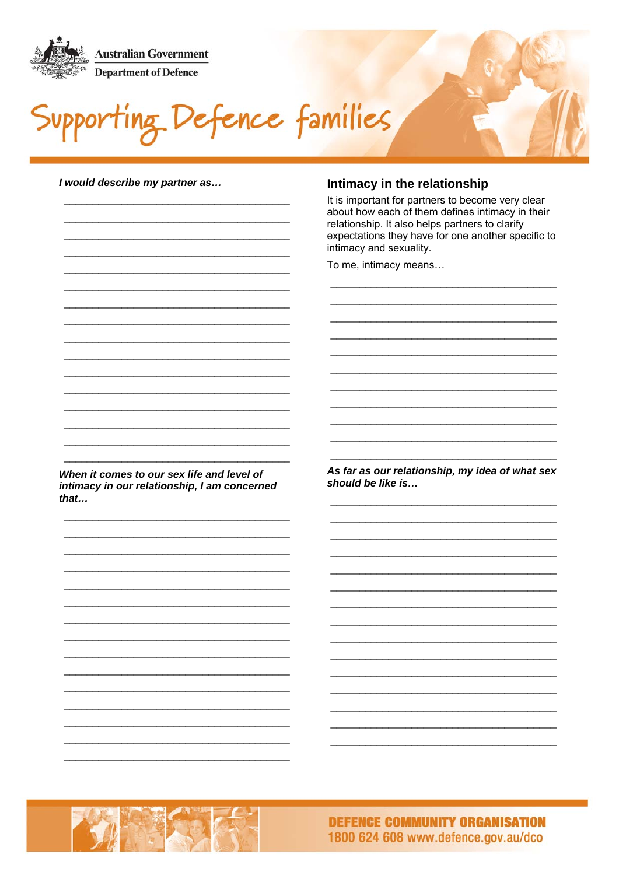

Defence families

I would describe my partner as...

#### Intimacy in the relationship

It is important for partners to become very clear about how each of them defines intimacy in their relationship. It also helps partners to clarify expectations they have for one another specific to intimacy and sexuality.

To me, intimacy means...

When it comes to our sex life and level of intimacy in our relationship, I am concerned  $that...$ 

As far as our relationship, my idea of what sex should be like is...

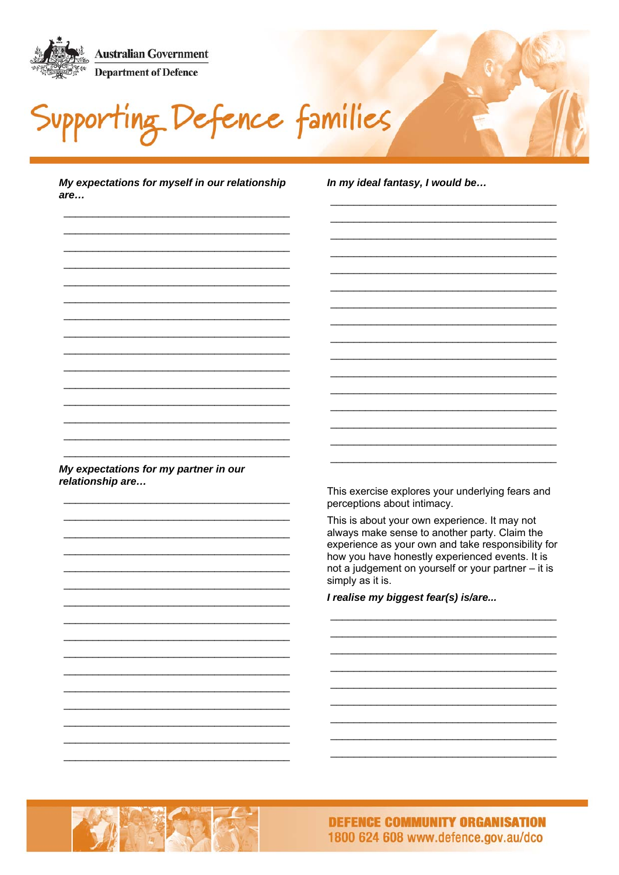

Defence families

My expectations for myself in our relationship are...

In my ideal fantasy, I would be...

My expectations for my partner in our relationship are...

This exercise explores your underlying fears and perceptions about intimacy.

This is about your own experience. It may not always make sense to another party. Claim the experience as your own and take responsibility for how you have honestly experienced events. It is not a judgement on yourself or your partner - it is simply as it is.

I realise my biggest fear(s) is/are...

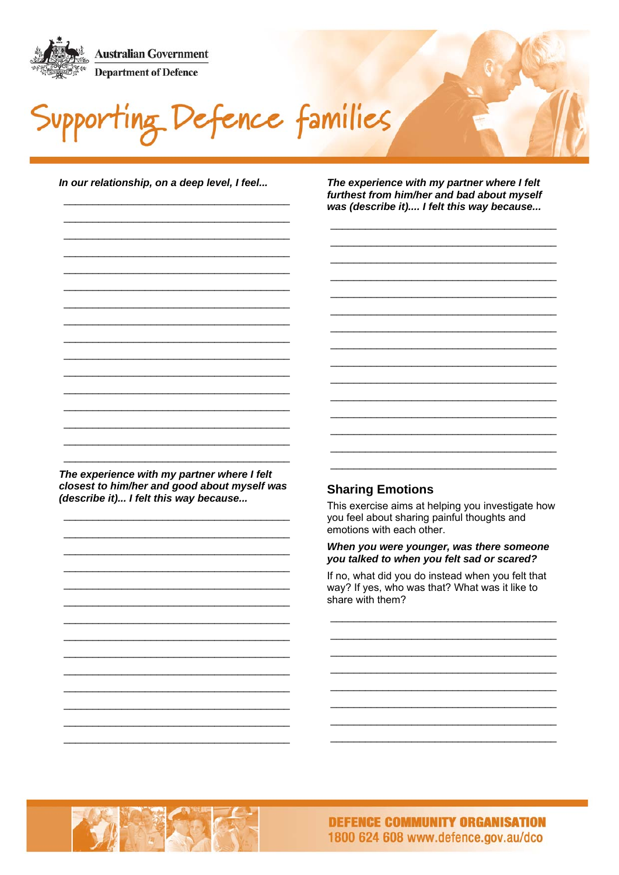

Defence families

In our relationship, on a deep level, I feel...

The experience with my partner where I felt furthest from him/her and bad about myself was (describe it).... I felt this way because...

The experience with my partner where I felt closest to him/her and good about myself was (describe it)... I felt this way because...

#### **Sharing Emotions**

This exercise aims at helping you investigate how you feel about sharing painful thoughts and emotions with each other.

#### When you were younger, was there someone you talked to when you felt sad or scared?

If no, what did you do instead when you felt that way? If yes, who was that? What was it like to share with them?

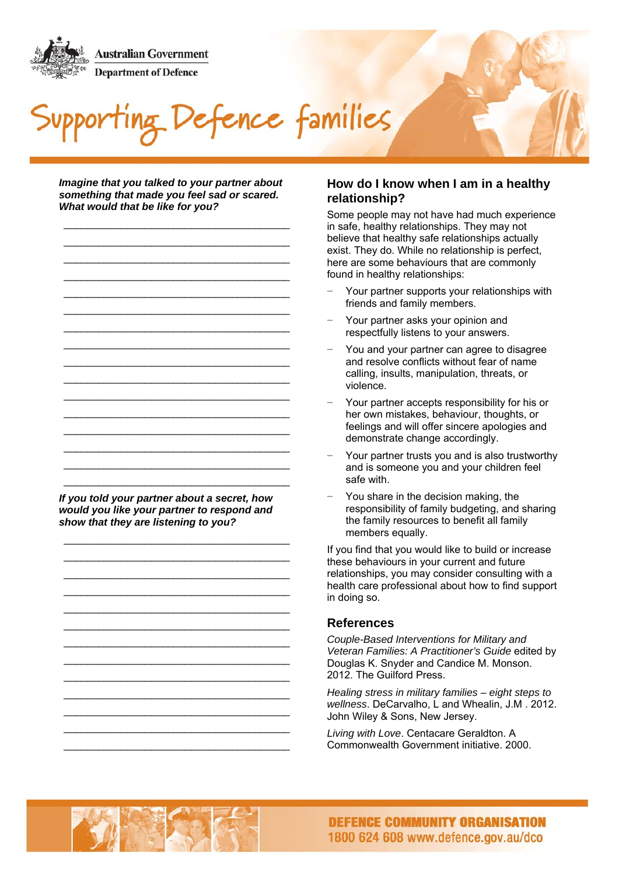

Defence families

*Imagine that you talked to your partner about something that made you feel sad or scared. What would that be like for you?* 

\_\_\_\_\_\_\_\_\_\_\_\_\_\_\_\_\_\_\_\_\_\_\_\_\_\_\_\_\_\_\_\_\_\_\_\_\_\_\_ \_\_\_\_\_\_\_\_\_\_\_\_\_\_\_\_\_\_\_\_\_\_\_\_\_\_\_\_\_\_\_\_\_\_\_\_\_\_\_ \_\_\_\_\_\_\_\_\_\_\_\_\_\_\_\_\_\_\_\_\_\_\_\_\_\_\_\_\_\_\_\_\_\_\_\_\_\_\_ \_\_\_\_\_\_\_\_\_\_\_\_\_\_\_\_\_\_\_\_\_\_\_\_\_\_\_\_\_\_\_\_\_\_\_\_\_\_\_ \_\_\_\_\_\_\_\_\_\_\_\_\_\_\_\_\_\_\_\_\_\_\_\_\_\_\_\_\_\_\_\_\_\_\_\_\_\_\_ \_\_\_\_\_\_\_\_\_\_\_\_\_\_\_\_\_\_\_\_\_\_\_\_\_\_\_\_\_\_\_\_\_\_\_\_\_\_\_

\_\_\_\_\_\_\_\_\_\_\_\_\_\_\_\_\_\_\_\_\_\_\_\_\_\_\_\_\_\_\_\_\_\_\_\_\_\_\_ \_\_\_\_\_\_\_\_\_\_\_\_\_\_\_\_\_\_\_\_\_\_\_\_\_\_\_\_\_\_\_\_\_\_\_\_\_\_\_ \_\_\_\_\_\_\_\_\_\_\_\_\_\_\_\_\_\_\_\_\_\_\_\_\_\_\_\_\_\_\_\_\_\_\_\_\_\_\_ \_\_\_\_\_\_\_\_\_\_\_\_\_\_\_\_\_\_\_\_\_\_\_\_\_\_\_\_\_\_\_\_\_\_\_\_\_\_\_ \_\_\_\_\_\_\_\_\_\_\_\_\_\_\_\_\_\_\_\_\_\_\_\_\_\_\_\_\_\_\_\_\_\_\_\_\_\_\_ \_\_\_\_\_\_\_\_\_\_\_\_\_\_\_\_\_\_\_\_\_\_\_\_\_\_\_\_\_\_\_\_\_\_\_\_\_\_\_ \_\_\_\_\_\_\_\_\_\_\_\_\_\_\_\_\_\_\_\_\_\_\_\_\_\_\_\_\_\_\_\_\_\_\_\_\_\_\_ \_\_\_\_\_\_\_\_\_\_\_\_\_\_\_\_\_\_\_\_\_\_\_\_\_\_\_\_\_\_\_\_\_\_\_\_\_\_\_ \_\_\_\_\_\_\_\_\_\_\_\_\_\_\_\_\_\_\_\_\_\_\_\_\_\_\_\_\_\_\_\_\_\_\_\_\_\_\_ \_\_\_\_\_\_\_\_\_\_\_\_\_\_\_\_\_\_\_\_\_\_\_\_\_\_\_\_\_\_\_\_\_\_\_\_\_\_\_ *If you told your partner about a secret, how* 

*would you like your partner to respond and show that they are listening to you?* 

\_\_\_\_\_\_\_\_\_\_\_\_\_\_\_\_\_\_\_\_\_\_\_\_\_\_\_\_\_\_\_\_\_\_\_\_\_\_\_ \_\_\_\_\_\_\_\_\_\_\_\_\_\_\_\_\_\_\_\_\_\_\_\_\_\_\_\_\_\_\_\_\_\_\_\_\_\_\_ \_\_\_\_\_\_\_\_\_\_\_\_\_\_\_\_\_\_\_\_\_\_\_\_\_\_\_\_\_\_\_\_\_\_\_\_\_\_\_ \_\_\_\_\_\_\_\_\_\_\_\_\_\_\_\_\_\_\_\_\_\_\_\_\_\_\_\_\_\_\_\_\_\_\_\_\_\_\_ \_\_\_\_\_\_\_\_\_\_\_\_\_\_\_\_\_\_\_\_\_\_\_\_\_\_\_\_\_\_\_\_\_\_\_\_\_\_\_ \_\_\_\_\_\_\_\_\_\_\_\_\_\_\_\_\_\_\_\_\_\_\_\_\_\_\_\_\_\_\_\_\_\_\_\_\_\_\_ \_\_\_\_\_\_\_\_\_\_\_\_\_\_\_\_\_\_\_\_\_\_\_\_\_\_\_\_\_\_\_\_\_\_\_\_\_\_\_ \_\_\_\_\_\_\_\_\_\_\_\_\_\_\_\_\_\_\_\_\_\_\_\_\_\_\_\_\_\_\_\_\_\_\_\_\_\_\_ \_\_\_\_\_\_\_\_\_\_\_\_\_\_\_\_\_\_\_\_\_\_\_\_\_\_\_\_\_\_\_\_\_\_\_\_\_\_\_ \_\_\_\_\_\_\_\_\_\_\_\_\_\_\_\_\_\_\_\_\_\_\_\_\_\_\_\_\_\_\_\_\_\_\_\_\_\_\_ \_\_\_\_\_\_\_\_\_\_\_\_\_\_\_\_\_\_\_\_\_\_\_\_\_\_\_\_\_\_\_\_\_\_\_\_\_\_\_ \_\_\_\_\_\_\_\_\_\_\_\_\_\_\_\_\_\_\_\_\_\_\_\_\_\_\_\_\_\_\_\_\_\_\_\_\_\_\_ \_\_\_\_\_\_\_\_\_\_\_\_\_\_\_\_\_\_\_\_\_\_\_\_\_\_\_\_\_\_\_\_\_\_\_\_\_\_\_

#### **How do I know when I am in a healthy relationship?**

Some people may not have had much experience in safe, healthy relationships. They may not believe that healthy safe relationships actually exist. They do. While no relationship is perfect, here are some behaviours that are commonly found in healthy relationships:

- Your partner supports your relationships with friends and family members.
- Your partner asks your opinion and respectfully listens to your answers.
- − You and your partner can agree to disagree and resolve conflicts without fear of name calling, insults, manipulation, threats, or violence.
- Your partner accepts responsibility for his or her own mistakes, behaviour, thoughts, or feelings and will offer sincere apologies and demonstrate change accordingly.
- Your partner trusts you and is also trustworthy and is someone you and your children feel safe with.
- You share in the decision making, the responsibility of family budgeting, and sharing the family resources to benefit all family members equally.

If you find that you would like to build or increase these behaviours in your current and future relationships, you may consider consulting with a health care professional about how to find support in doing so.

#### **References**

*Couple-Based Interventions for Military and Veteran Families: A Practitioner's Guide* edited by Douglas K. Snyder and Candice M. Monson. 2012. The Guilford Press.

*Healing stress in military families – eight steps to wellness*. DeCarvalho, L and Whealin, J.M . 2012. John Wiley & Sons, New Jersey.

*Living with Love*. Centacare Geraldton. A Commonwealth Government initiative. 2000.